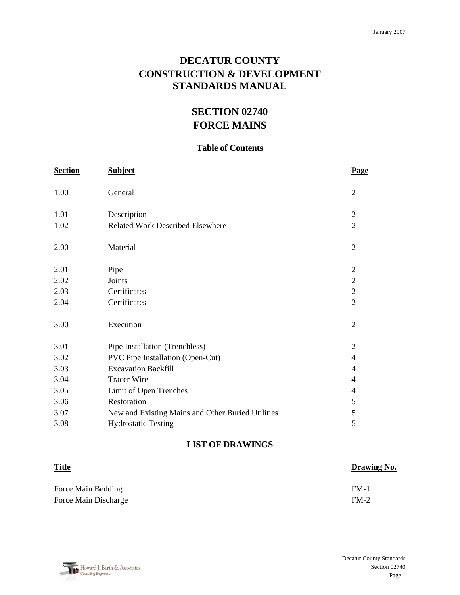## **DECATUR COUNTY CONSTRUCTION & DEVELOPMENT STANDARDS MANUAL**

# **SECTION 02740 FORCE MAINS**

## **Table of Contents**

| <b>Section</b> | <b>Subject</b>                                    | Page           |
|----------------|---------------------------------------------------|----------------|
| 1.00           | General                                           | $\overline{2}$ |
| 1.01           | Description                                       | $\overline{2}$ |
| 1.02           | <b>Related Work Described Elsewhere</b>           | $\overline{2}$ |
| 2.00           | Material                                          | $\overline{2}$ |
| 2.01           | Pipe                                              | $\overline{2}$ |
| 2.02           | Joints                                            | $\overline{2}$ |
| 2.03           | Certificates                                      | $\overline{2}$ |
| 2.04           | Certificates                                      | $\overline{2}$ |
| 3.00           | Execution                                         | $\overline{2}$ |
| 3.01           | Pipe Installation (Trenchless)                    | $\overline{2}$ |
| 3.02           | PVC Pipe Installation (Open-Cut)                  | $\overline{4}$ |
| 3.03           | <b>Excavation Backfill</b>                        | 4              |
| 3.04           | <b>Tracer Wire</b>                                | 4              |
| 3.05           | Limit of Open Trenches                            | 4              |
| 3.06           | Restoration                                       | 5              |
| 3.07           | New and Existing Mains and Other Buried Utilities | 5              |
| 3.08           | <b>Hydrostatic Testing</b>                        | 5              |
|                |                                                   |                |

## **LIST OF DRAWINGS**

| <b>Title</b>         | <b>Drawing No.</b> |
|----------------------|--------------------|
| Force Main Bedding   | $FM-1$             |
| Force Main Discharge | $FM-2$             |

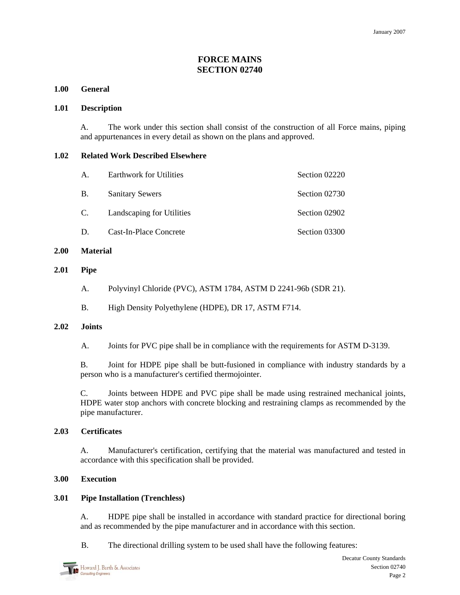## **FORCE MAINS SECTION 02740**

## **1.00 General**

## **1.01 Description**

A. The work under this section shall consist of the construction of all Force mains, piping and appurtenances in every detail as shown on the plans and approved.

## **1.02 Related Work Described Elsewhere**

| A.        | <b>Earthwork for Utilities</b> | Section 02220 |
|-----------|--------------------------------|---------------|
| <b>B.</b> | <b>Sanitary Sewers</b>         | Section 02730 |
| C.        | Landscaping for Utilities      | Section 02902 |
| Ð         | Cast-In-Place Concrete         | Section 03300 |

#### **2.00 Material**

#### **2.01 Pipe**

- A. Polyvinyl Chloride (PVC), ASTM 1784, ASTM D 2241-96b (SDR 21).
- B. High Density Polyethylene (HDPE), DR 17, ASTM F714.

## **2.02 Joints**

A. Joints for PVC pipe shall be in compliance with the requirements for ASTM D-3139.

B. Joint for HDPE pipe shall be butt-fusioned in compliance with industry standards by a person who is a manufacturer's certified thermojointer.

C. Joints between HDPE and PVC pipe shall be made using restrained mechanical joints, HDPE water stop anchors with concrete blocking and restraining clamps as recommended by the pipe manufacturer.

## **2.03 Certificates**

A. Manufacturer's certification, certifying that the material was manufactured and tested in accordance with this specification shall be provided.

## **3.00 Execution**

## **3.01 Pipe Installation (Trenchless)**

A. HDPE pipe shall be installed in accordance with standard practice for directional boring and as recommended by the pipe manufacturer and in accordance with this section.

B. The directional drilling system to be used shall have the following features: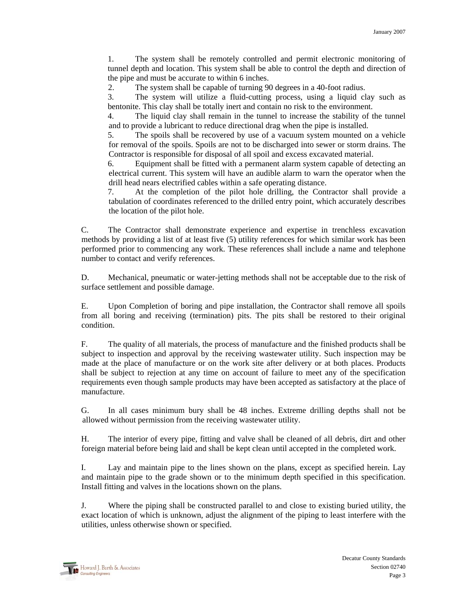1. The system shall be remotely controlled and permit electronic monitoring of tunnel depth and location. This system shall be able to control the depth and direction of the pipe and must be accurate to within 6 inches.

2. The system shall be capable of turning 90 degrees in a 40-foot radius.

3. The system will utilize a fluid-cutting process, using a liquid clay such as bentonite. This clay shall be totally inert and contain no risk to the environment.

4. The liquid clay shall remain in the tunnel to increase the stability of the tunnel and to provide a lubricant to reduce directional drag when the pipe is installed.

5. The spoils shall be recovered by use of a vacuum system mounted on a vehicle for removal of the spoils. Spoils are not to be discharged into sewer or storm drains. The Contractor is responsible for disposal of all spoil and excess excavated material.

6. Equipment shall be fitted with a permanent alarm system capable of detecting an electrical current. This system will have an audible alarm to warn the operator when the drill head nears electrified cables within a safe operating distance.

7. At the completion of the pilot hole drilling, the Contractor shall provide a tabulation of coordinates referenced to the drilled entry point, which accurately describes the location of the pilot hole.

C. The Contractor shall demonstrate experience and expertise in trenchless excavation methods by providing a list of at least five (5) utility references for which similar work has been performed prior to commencing any work. These references shall include a name and telephone number to contact and verify references.

D. Mechanical, pneumatic or water-jetting methods shall not be acceptable due to the risk of surface settlement and possible damage.

E. Upon Completion of boring and pipe installation, the Contractor shall remove all spoils from all boring and receiving (termination) pits. The pits shall be restored to their original condition.

F. The quality of all materials, the process of manufacture and the finished products shall be subject to inspection and approval by the receiving wastewater utility. Such inspection may be made at the place of manufacture or on the work site after delivery or at both places. Products shall be subject to rejection at any time on account of failure to meet any of the specification requirements even though sample products may have been accepted as satisfactory at the place of manufacture.

G. In all cases minimum bury shall be 48 inches. Extreme drilling depths shall not be allowed without permission from the receiving wastewater utility.

H. The interior of every pipe, fitting and valve shall be cleaned of all debris, dirt and other foreign material before being laid and shall be kept clean until accepted in the completed work.

I. Lay and maintain pipe to the lines shown on the plans, except as specified herein. Lay and maintain pipe to the grade shown or to the minimum depth specified in this specification. Install fitting and valves in the locations shown on the plans.

J. Where the piping shall be constructed parallel to and close to existing buried utility, the exact location of which is unknown, adjust the alignment of the piping to least interfere with the utilities, unless otherwise shown or specified.

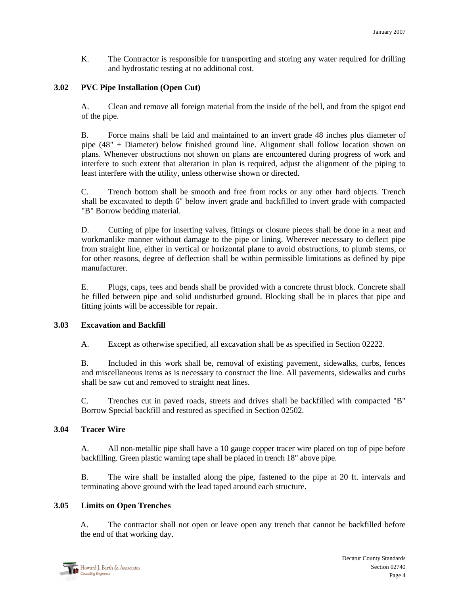K. The Contractor is responsible for transporting and storing any water required for drilling and hydrostatic testing at no additional cost.

## **3.02 PVC Pipe Installation (Open Cut)**

A. Clean and remove all foreign material from the inside of the bell, and from the spigot end of the pipe.

B. Force mains shall be laid and maintained to an invert grade 48 inches plus diameter of pipe (48" + Diameter) below finished ground line. Alignment shall follow location shown on plans. Whenever obstructions not shown on plans are encountered during progress of work and interfere to such extent that alteration in plan is required, adjust the alignment of the piping to least interfere with the utility, unless otherwise shown or directed.

C. Trench bottom shall be smooth and free from rocks or any other hard objects. Trench shall be excavated to depth 6" below invert grade and backfilled to invert grade with compacted "B" Borrow bedding material.

D. Cutting of pipe for inserting valves, fittings or closure pieces shall be done in a neat and workmanlike manner without damage to the pipe or lining. Wherever necessary to deflect pipe from straight line, either in vertical or horizontal plane to avoid obstructions, to plumb stems, or for other reasons, degree of deflection shall be within permissible limitations as defined by pipe manufacturer.

E. Plugs, caps, tees and bends shall be provided with a concrete thrust block. Concrete shall be filled between pipe and solid undisturbed ground. Blocking shall be in places that pipe and fitting joints will be accessible for repair.

## **3.03 Excavation and Backfill**

A. Except as otherwise specified, all excavation shall be as specified in Section 02222.

B. Included in this work shall be, removal of existing pavement, sidewalks, curbs, fences and miscellaneous items as is necessary to construct the line. All pavements, sidewalks and curbs shall be saw cut and removed to straight neat lines.

C. Trenches cut in paved roads, streets and drives shall be backfilled with compacted "B" Borrow Special backfill and restored as specified in Section 02502.

## **3.04 Tracer Wire**

A. All non-metallic pipe shall have a 10 gauge copper tracer wire placed on top of pipe before backfilling. Green plastic warning tape shall be placed in trench 18" above pipe.

B. The wire shall be installed along the pipe, fastened to the pipe at 20 ft. intervals and terminating above ground with the lead taped around each structure.

## **3.05 Limits on Open Trenches**

A. The contractor shall not open or leave open any trench that cannot be backfilled before the end of that working day.

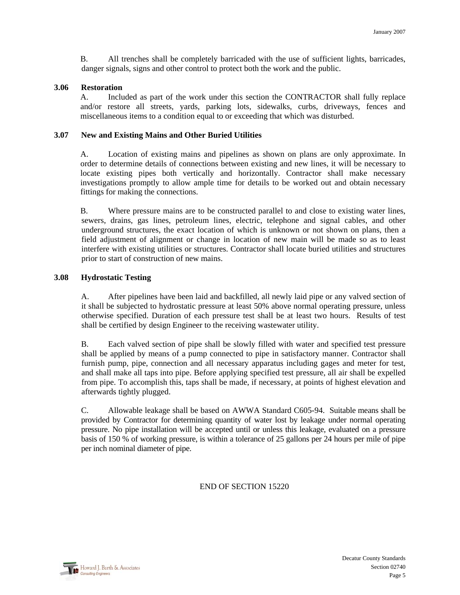B. All trenches shall be completely barricaded with the use of sufficient lights, barricades, danger signals, signs and other control to protect both the work and the public.

#### **3.06 Restoration**

A. Included as part of the work under this section the CONTRACTOR shall fully replace and/or restore all streets, yards, parking lots, sidewalks, curbs, driveways, fences and miscellaneous items to a condition equal to or exceeding that which was disturbed.

#### **3.07 New and Existing Mains and Other Buried Utilities**

A. Location of existing mains and pipelines as shown on plans are only approximate. In order to determine details of connections between existing and new lines, it will be necessary to locate existing pipes both vertically and horizontally. Contractor shall make necessary investigations promptly to allow ample time for details to be worked out and obtain necessary fittings for making the connections.

B. Where pressure mains are to be constructed parallel to and close to existing water lines, sewers, drains, gas lines, petroleum lines, electric, telephone and signal cables, and other underground structures, the exact location of which is unknown or not shown on plans, then a field adjustment of alignment or change in location of new main will be made so as to least interfere with existing utilities or structures. Contractor shall locate buried utilities and structures prior to start of construction of new mains.

#### **3.08 Hydrostatic Testing**

A. After pipelines have been laid and backfilled, all newly laid pipe or any valved section of it shall be subjected to hydrostatic pressure at least 50% above normal operating pressure, unless otherwise specified. Duration of each pressure test shall be at least two hours. Results of test shall be certified by design Engineer to the receiving wastewater utility.

B. Each valved section of pipe shall be slowly filled with water and specified test pressure shall be applied by means of a pump connected to pipe in satisfactory manner. Contractor shall furnish pump, pipe, connection and all necessary apparatus including gages and meter for test, and shall make all taps into pipe. Before applying specified test pressure, all air shall be expelled from pipe. To accomplish this, taps shall be made, if necessary, at points of highest elevation and afterwards tightly plugged.

C. Allowable leakage shall be based on AWWA Standard C605-94. Suitable means shall be provided by Contractor for determining quantity of water lost by leakage under normal operating pressure. No pipe installation will be accepted until or unless this leakage, evaluated on a pressure basis of 150 % of working pressure, is within a tolerance of 25 gallons per 24 hours per mile of pipe per inch nominal diameter of pipe.

## END OF SECTION 15220

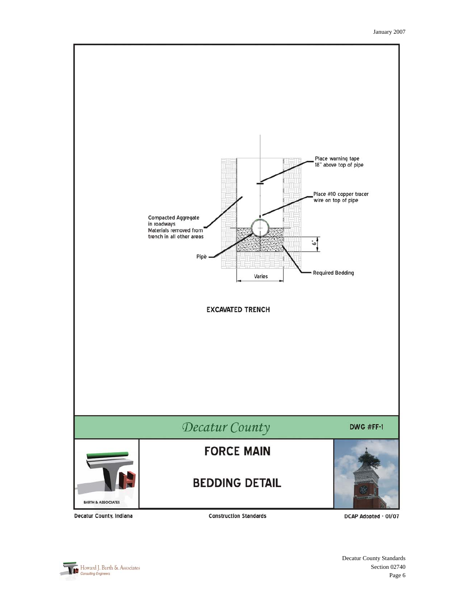

Decatur County, Indiana

**Construction Standards** 

DCAP Adopted - 01/07